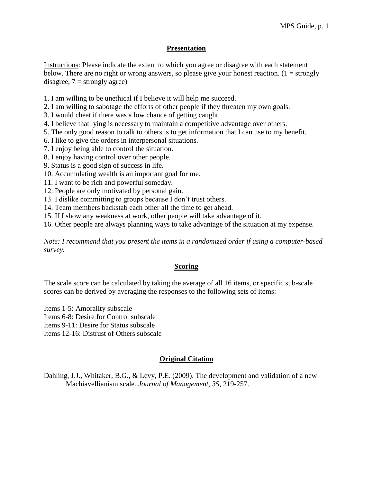### **Presentation**

Instructions: Please indicate the extent to which you agree or disagree with each statement below. There are no right or wrong answers, so please give your honest reaction.  $(1 = \text{strongly})$ disagree,  $7 =$  strongly agree)

- 1. I am willing to be unethical if I believe it will help me succeed.
- 2. I am willing to sabotage the efforts of other people if they threaten my own goals.
- 3. I would cheat if there was a low chance of getting caught.
- 4. I believe that lying is necessary to maintain a competitive advantage over others.
- 5. The only good reason to talk to others is to get information that I can use to my benefit.
- 6. I like to give the orders in interpersonal situations.
- 7. I enjoy being able to control the situation.
- 8. I enjoy having control over other people.
- 9. Status is a good sign of success in life.
- 10. Accumulating wealth is an important goal for me.
- 11. I want to be rich and powerful someday.
- 12. People are only motivated by personal gain.
- 13. I dislike committing to groups because I don't trust others.
- 14. Team members backstab each other all the time to get ahead.
- 15. If I show any weakness at work, other people will take advantage of it.
- 16. Other people are always planning ways to take advantage of the situation at my expense.

*Note: I recommend that you present the items in a randomized order if using a computer-based survey.* 

#### **Scoring**

The scale score can be calculated by taking the average of all 16 items, or specific sub-scale scores can be derived by averaging the responses to the following sets of items:

Items 1-5: Amorality subscale

Items 6-8: Desire for Control subscale

Items 9-11: Desire for Status subscale

Items 12-16: Distrust of Others subscale

# **Original Citation**

Dahling, J.J., Whitaker, B.G., & Levy, P.E. (2009). The development and validation of a new Machiavellianism scale. *Journal of Management, 35,* 219-257.